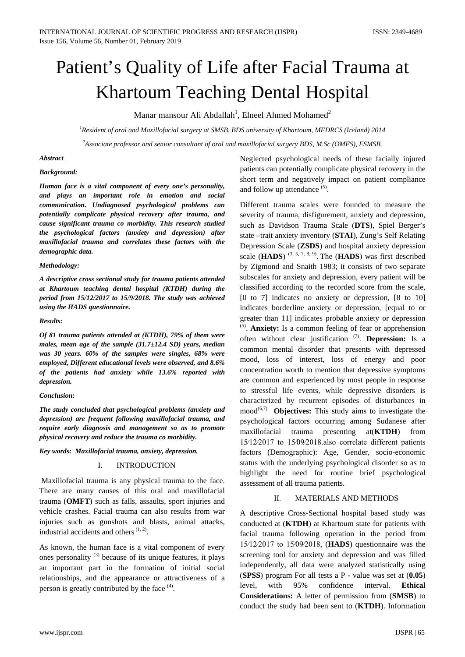# Patient's Quality of Life after Facial Trauma at Khartoum Teaching Dental Hospital

Manar mansour Ali Abdallah<sup>1</sup>, Elneel Ahmed Mohamed<sup>2</sup>

*1 Resident of oral and Maxillofacial surgery at SMSB, BDS university of Khartoum, MFDRCS (Ireland) 2014 2 Associate professor and senior consultant of oral and maxillofacial surgery BDS, M.Sc (OMFS), FSMSB.*

#### *Abstract*

#### *Background:*

*Human face is a vital component of every one's personality, and plays an important role in emotion and social communication. Undiagnosed psychological problems can potentially complicate physical recovery after trauma, and cause significant trauma co morbidity. This research studied the psychological factors (anxiety and depression) after maxillofacial trauma and correlates these factors with the demographic data.*

#### *Methodology:*

*A descriptive cross sectional study for trauma patients attended at Khartoum teaching dental hospital (KTDH) during the period from 15/12/2017 to 15/9/2018. The study was achieved using the HADS questionnaire.*

#### *Results:*

*Of 81 trauma patients attended at (KTDH), 79% of them were males, mean age of the sample (31.7±12.4 SD) years, median was 30 years. 60% of the samples were singles, 68% were employed, Different educational levels were observed, and 8.6% of the patients had anxiety while 13.6% reported with depression.*

#### *Conclusion:*

*The study concluded that psychological problems (anxiety and depression) are frequent following maxillofacial trauma, and require early diagnosis and management so as to promote physical recovery and reduce the trauma co morbidity.*

*Key words: Maxillofacial trauma, anxiety, depression.*

## I. INTRODUCTION

Maxillofacial trauma is any physical trauma to the face. There are many causes of this oral and maxillofacial trauma (**OMFT**) such as falls, assaults, sport injuries and vehicle crashes. Facial trauma can also results from war injuries such as gunshots and blasts, animal attacks, industrial accidents and others $(1, 2)$ .

As known, the human face is a vital component of every ones personality  $(3)$  because of its unique features, it plays an important part in the formation of initial social relationships, and the appearance or attractiveness of a person is greatly contributed by the face (4).

Neglected psychological needs of these facially injured patients can potentially complicate physical recovery in the short term and negatively impact on patient compliance and follow up attendance <sup>(5)</sup>.

Different trauma scales were founded to measure the severity of trauma, disfigurement, anxiety and depression, such as Davidson Trauma Scale (**DTS**), Spiel Berger's state –trait anxiety inventory (**STAI**), Zung's Self Relating Depression Scale (**ZSDS**) and hospital anxiety depression scale (**HADS**)  $(3, 5, 7, 8, 9)$ . The (**HADS**) was first described by Zigmond and Snaith 1983; it consists of two separate subscales for anxiety and depression, every patient will be classified according to the recorded score from the scale, [0 to 7] indicates no anxiety or depression, [8 to 10] indicates borderline anxiety or depression, [equal to or greater than 11] indicates probable anxiety or depression (5). **Anxiety:** Is a common feeling of fear or apprehension often without clear justification (7). **Depression:** Is a common mental disorder that presents with depressed mood, loss of interest, loss of energy and poor concentration worth to mention that depressive symptoms are common and experienced by most people in response to stressful life events, while depressive disorders is characterized by recurrent episodes of disturbances in mood<sup>(6,7)</sup> **Objectives:** This study aims to investigate the psychological factors occurring among Sudanese after maxillofacial trauma presenting at(**KTDH**) from 15∕12∕2017 to 15∕09∕2018.also correlate different patients factors (Demographic): Age, Gender, socio-economic status with the underlying psychological disorder so as to highlight the need for routine brief psychological assessment of all trauma patients.

# II. MATERIALS AND METHODS

A descriptive Cross-Sectional hospital based study was conducted at (**KTDH**) at Khartoum state for patients with facial trauma following operation in the period from 15∕12∕2017 to 15∕09∕2018, (**HADS**) questionnaire was the screening tool for anxiety and depression and was filled independently, all data were analyzed statistically using (**SPSS**) program For all tests a P - value was set at (**0.05**) level, with 95% confidence interval. **Ethical Considerations:** A letter of permission from (**SMSB**) to conduct the study had been sent to (**KTDH**). Information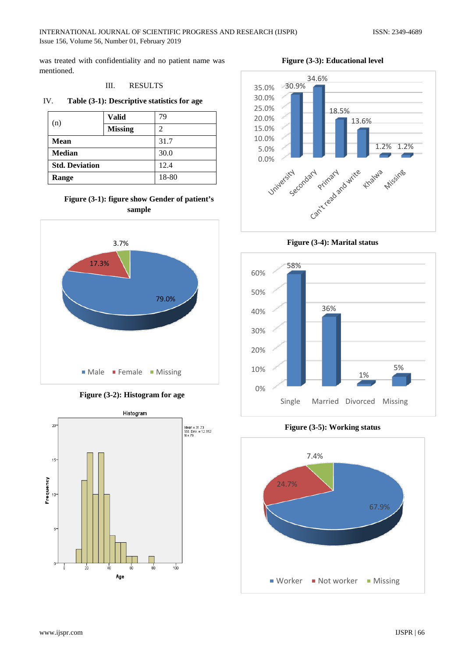was treated with confidentiality and no patient name was mentioned.

#### III. RESULTS

#### IV. **Table (3-1): Descriptive statistics for age**

| (n)                   | <b>Valid</b>   | 79   |
|-----------------------|----------------|------|
|                       | <b>Missing</b> | 2    |
| Mean                  |                | 31.7 |
| <b>Median</b>         | 30.0           |      |
| <b>Std. Deviation</b> | 12.4           |      |
| Range                 | 18-80          |      |

# **Figure (3-1): figure show Gender of patient's sample**



**Figure (3-2): Histogram for age**



**Figure (3-3): Educational level**



**Figure (3-4): Marital status**



**Figure (3-5): Working status**

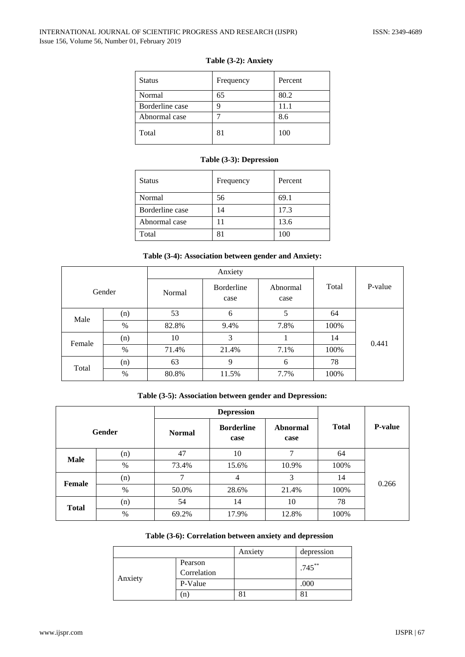## INTERNATIONAL JOURNAL OF SCIENTIFIC PROGRESS AND RESEARCH (IJSPR) ISSN: 2349-4689 Issue 156, Volume 56, Number 01, February 2019

| <b>Status</b>   | Frequency | Percent |
|-----------------|-----------|---------|
| Normal          | 65        | 80.2    |
| Borderline case | Q         | 11.1    |
| Abnormal case   |           | 8.6     |
| Total           | 81        | 100     |

# **Table (3-2): Anxiety**

# **Table (3-3): Depression**

| <b>Status</b>   | Frequency | Percent |
|-----------------|-----------|---------|
| Normal          | 56        | 69.1    |
| Borderline case | 14        | 17.3    |
| Abnormal case   | 11        | 13.6    |
| Total           | 81        | 100     |

## **Table (3-4): Association between gender and Anxiety:**

|        |        |        | Anxiety            |                  |       |         |
|--------|--------|--------|--------------------|------------------|-------|---------|
|        | Gender | Normal | Borderline<br>case | Abnormal<br>case | Total | P-value |
| Male   | (n)    | 53     | 6                  | 5                | 64    |         |
|        | $\%$   | 82.8%  | 9.4%               | 7.8%             | 100%  |         |
| Female | (n)    | 10     | 3                  |                  | 14    | 0.441   |
|        | %      | 71.4%  | 21.4%              | 7.1%             | 100%  |         |
| Total  | (n)    | 63     | 9                  | 6                | 78    |         |
|        | $\%$   | 80.8%  | 11.5%              | 7.7%             | 100%  |         |

# **Table (3-5): Association between gender and Depression:**

|              |               | <b>Depression</b> |                           |                  |              |                |
|--------------|---------------|-------------------|---------------------------|------------------|--------------|----------------|
|              | <b>Gender</b> | <b>Normal</b>     | <b>Borderline</b><br>case | Abnormal<br>case | <b>Total</b> | <b>P-value</b> |
| <b>Male</b>  | (n)           | 47                | 10                        | 7                | 64           |                |
|              | %             | 73.4%             | 15.6%                     | 10.9%            | 100%         |                |
| Female       | (n)           | 7                 | $\overline{4}$            | 3                | 14           | 0.266          |
|              | $\%$          | 50.0%             | 28.6%                     | 21.4%            | 100%         |                |
| <b>Total</b> | (n)           | 54                | 14                        | 10               | 78           |                |
|              | $\%$          | 69.2%             | 17.9%                     | 12.8%            | 100%         |                |

## **Table (3-6): Correlation between anxiety and depression**

|         |                        | Anxiety | depression |
|---------|------------------------|---------|------------|
|         | Pearson<br>Correlation |         | $.745***$  |
| Anxiety | P-Value                |         | .000       |
|         | (n)                    | 81      |            |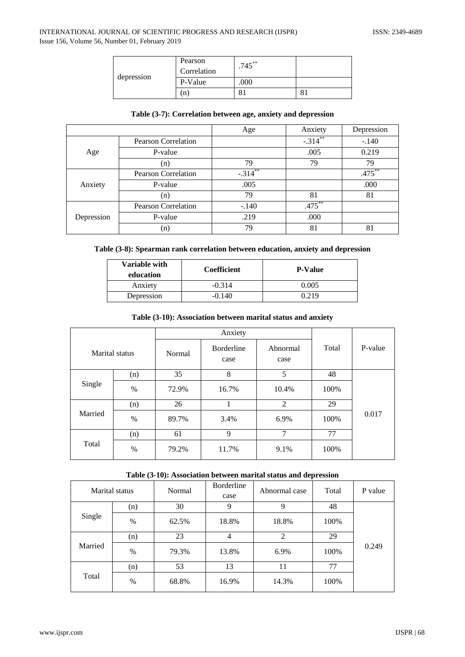|            | Pearson<br>Correlation | $.745***$ |  |
|------------|------------------------|-----------|--|
| depression | P-Value                | .000      |  |
|            | n                      | oі        |  |

#### **Table (3-7): Correlation between age, anxiety and depression**

|            |                            | Age        | Anxiety    | Depression |
|------------|----------------------------|------------|------------|------------|
|            | <b>Pearson Correlation</b> |            | $-.314***$ | $-.140$    |
| Age        | P-value                    |            | .005       | 0.219      |
|            | (n)                        | 79         | 79         | 79         |
| Anxiety    | <b>Pearson Correlation</b> | $-.314$ ** |            | $.475***$  |
|            | P-value                    | .005       |            | .000       |
|            | (n)                        | 79         | 81         | 81         |
|            | <b>Pearson Correlation</b> | $-.140$    | $.475***$  |            |
| Depression | P-value                    | .219       | .000       |            |
|            | (n)                        | 79         | 81         | 81         |

# **Table (3-8): Spearman rank correlation between education, anxiety and depression**

| Variable with<br>education | <b>Coefficient</b> | <b>P-Value</b> |
|----------------------------|--------------------|----------------|
| Anxiety                    | $-0.314$           | 0.005          |
| Depression                 | $-0.140$           | 0.219          |

#### **Table (3-10): Association between marital status and anxiety**

|                |      | Anxiety |                           |                  |       |         |
|----------------|------|---------|---------------------------|------------------|-------|---------|
| Marital status |      | Normal  | <b>Borderline</b><br>case | Abnormal<br>case | Total | P-value |
|                | (n)  | 35      | 8                         | 5                | 48    |         |
| Single         | $\%$ | 72.9%   | 16.7%                     | 10.4%            | 100%  |         |
|                | (n)  | 26      | 1                         | $\overline{2}$   | 29    |         |
| Married        | $\%$ | 89.7%   | 3.4%                      | 6.9%             | 100%  | 0.017   |
|                | (n)  | 61      | 9                         | 7                | 77    |         |
| Total          | $\%$ | 79.2%   | 11.7%                     | 9.1%             | 100%  |         |

# **Table (3-10): Association between marital status and depression**

|         | Marital status | Normal | Borderline<br>case | Abnormal case | Total | P value |
|---------|----------------|--------|--------------------|---------------|-------|---------|
|         | (n)            | 30     | 9                  | 9             | 48    |         |
| Single  | $\%$           | 62.5%  | 18.8%              | 18.8%         | 100%  |         |
|         | (n)            | 23     | 4                  | 2             | 29    |         |
| Married | $\%$           | 79.3%  | 13.8%              | 6.9%          | 100%  | 0.249   |
|         | (n)            | 53     | 13                 | 11            | 77    |         |
| Total   | $\%$           | 68.8%  | 16.9%              | 14.3%         | 100%  |         |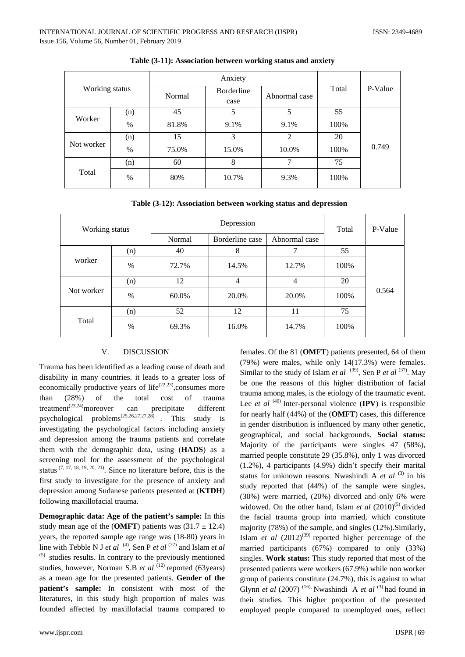| Working status |      | Anxiety |                    |               |       |         |
|----------------|------|---------|--------------------|---------------|-------|---------|
|                |      | Normal  | Borderline<br>case | Abnormal case | Total | P-Value |
|                | (n)  | 45      | 5                  | 5             | 55    |         |
| Worker         | $\%$ | 81.8%   | 9.1%               | 9.1%          | 100%  |         |
| Not worker     | (n)  | 15      | 3                  | 2             | 20    | 0.749   |
|                | $\%$ | 75.0%   | 15.0%              | 10.0%         | 100%  |         |
| Total          | (n)  | 60      | 8                  | 7             | 75    |         |
|                | $\%$ | 80%     | 10.7%              | 9.3%          | 100%  |         |

#### **Table (3-11): Association between working status and anxiety**

| Table (3-12): Association between working status and depression |  |  |
|-----------------------------------------------------------------|--|--|
|-----------------------------------------------------------------|--|--|

| Working status |      | Depression |                 | Total         | P-Value |       |
|----------------|------|------------|-----------------|---------------|---------|-------|
|                |      | Normal     | Borderline case | Abnormal case |         |       |
| worker         | (n)  | 40         | 8               | 7             | 55      |       |
|                | $\%$ | 72.7%      | 14.5%           | 12.7%         | 100%    |       |
| Not worker     | (n)  | 12         | $\overline{4}$  | 4             | 20      | 0.564 |
|                | $\%$ | 60.0%      | 20.0%           | 20.0%         | 100%    |       |
| Total          | (n)  | 52         | 12              | 11            | 75      |       |
|                | $\%$ | 69.3%      | 16.0%           | 14.7%         | 100%    |       |

#### V. DISCUSSION

Trauma has been identified as a leading cause of death and disability in many countries. it leads to a greater loss of economically productive years of life $(22,23)$ , consumes more than (28%) of the total cost of trauma treatment<sup>(23,24)</sup>moreover can precipitate different psychological problems(25,26,27,27,28) . This study is investigating the psychological factors including anxiety and depression among the trauma patients and correlate them with the demographic data, using (**HADS**) as a screening tool for the assessment of the psychological status  $(7, 17, 18, 19, 20, 21)$ . Since no literature before, this is the first study to investigate for the presence of anxiety and depression among Sudanese patients presented at (**KTDH**) following maxillofacial trauma.

**Demographic data: Age of the patient's sample:** In this study mean age of the (**OMFT**) patients was  $(31.7 \pm 12.4)$ years, the reported sample age range was (18-80) years in line with Tebble N J *et al* <sup>(4)</sup>, Sen P *et al* <sup>(37)</sup> and Islam *et al*  $(5)$  studies results. In contrary to the previously mentioned studies, however, Norman S.B *et al* <sup>(12)</sup> reported (63years) as a mean age for the presented patients. **Gender of the patient's sample:** In consistent with most of the literatures, in this study high proportion of males was founded affected by maxillofacial trauma compared to females. Of the 81 (**OMFT**) patients presented, 64 of them (79%) were males, while only 14(17.3%) were females. Similar to the study of Islam *et al* (39), Sen P *et al* (37). May be one the reasons of this higher distribution of facial trauma among males, is the etiology of the traumatic event. Lee *et al*  $(40)$  Inter-personal violence  $(IPV)$  is responsible for nearly half (44%) of the (**OMFT**) cases, this difference in gender distribution is influenced by many other genetic, geographical, and social backgrounds. **Social status:** Majority of the participants were singles 47 (58%), married people constitute 29 (35.8%), only 1 was divorced (1.2%), 4 participants (4.9%) didn't specify their marital status for unknown reasons. Nwashindi A  $et$   $al$ <sup>(3)</sup> in his study reported that (44%) of the sample were singles, (30%) were married, (20%) divorced and only 6% were widowed. On the other hand, Islam *et al*  $(2010)^{(5)}$  divided the facial trauma group into married, which constitute majority (78%) of the sample, and singles (12%).Similarly, Islam *et al*  $(2012)^{(39)}$  reported higher percentage of the married participants (67%) compared to only (33%) singles. **Work status:** This study reported that most of the presented patients were workers (67.9%) while non worker group of patients constitute (24.7%), this is against to what Glynn *et al* (2007)<sup>(16),</sup> Nwashindi A *et al*<sup>(3)</sup> had found in their studies. This higher proportion of the presented employed people compared to unemployed ones, reflect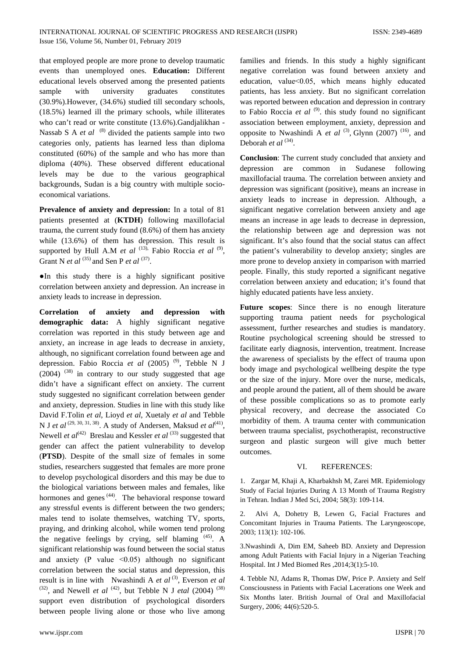that employed people are more prone to develop traumatic events than unemployed ones. **Education:** Different educational levels observed among the presented patients sample with university graduates constitutes (30.9%).However, (34.6%) studied till secondary schools, (18.5%) learned ill the primary schools, while illiterates who can't read or write constitute (13.6%).Gandjalikhan - Nassab S A *et al* <sup>(8)</sup> divided the patients sample into two categories only, patients has learned less than diploma constituted (60%) of the sample and who has more than diploma (40%). These observed different educational levels may be due to the various geographical backgrounds, Sudan is a big country with multiple socioeconomical variations.

**Prevalence of anxiety and depression:** In a total of 81 patients presented at (**KTDH**) following maxillofacial trauma, the current study found (8.6%) of them has anxiety while (13.6%) of them has depression. This result is supported by Hull A.M *et al* <sup>(13),</sup> Fabio Roccia *et al* <sup>(9)</sup>, Grant N *et al* <sup>(35)</sup> and Sen P *et al* <sup>(37)</sup>.

●In this study there is a highly significant positive correlation between anxiety and depression. An increase in anxiety leads to increase in depression.

**Correlation of anxiety and depression with demographic data:** A highly significant negative correlation was reported in this study between age and anxiety, an increase in age leads to decrease in anxiety, although, no significant correlation found between age and depression. Fabio Roccia *et al* (2005)<sup>(9)</sup>, Tebble N J  $(2004)$ <sup> $(38)$ </sup> in contrary to our study suggested that age didn't have a significant effect on anxiety. The current study suggested no significant correlation between gender and anxiety, depression. Studies in line with this study like David F.Tolin *et al*, Lioyd *et al*, Xuetaly *et al* and Tebble N J *et al* <sup>(29, 30, 31, 38)</sup>. A study of Andersen, Maksud *et al*<sup>(41)</sup>, Newell *et al*<sup>(42)</sup> Breslau and Kessler *et al*<sup>(33)</sup> suggested that gender can affect the patient vulnerability to develop (**PTSD**). Despite of the small size of females in some studies, researchers suggested that females are more prone to develop psychological disorders and this may be due to the biological variations between males and females, like hormones and genes <sup>(44)</sup>. The behavioral response toward any stressful events is different between the two genders; males tend to isolate themselves, watching TV, sports, praying, and drinking alcohol, while women tend prolong the negative feelings by crying, self blaming  $(45)$ . A significant relationship was found between the social status and anxiety (P value  $\leq 0.05$ ) although no significant correlation between the social status and depression, this result is in line with Nwashindi A *et al*<sup>(3)</sup>, Everson *et al*  $(32)$ , and Newell *et al*  $(42)$ , but Tebble N J *etal* (2004)  $(38)$ support even distribution of psychological disorders between people living alone or those who live among

families and friends. In this study a highly significant negative correlation was found between anxiety and education, value˂0.05, which means highly educated patients, has less anxiety. But no significant correlation was reported between education and depression in contrary to Fabio Roccia *et al* (9). this study found no significant association between employment, anxiety, depression and opposite to Nwashindi A *et al* <sup>(3)</sup>, Glynn (2007)<sup>(16)</sup>, and Deborah *et al* <sup>(34)</sup>.

**Conclusion**: The current study concluded that anxiety and depression are common in Sudanese following maxillofacial trauma. The correlation between anxiety and depression was significant (positive), means an increase in anxiety leads to increase in depression. Although, a significant negative correlation between anxiety and age means an increase in age leads to decrease in depression, the relationship between age and depression was not significant. It's also found that the social status can affect the patient's vulnerability to develop anxiety; singles are more prone to develop anxiety in comparison with married people. Finally, this study reported a significant negative correlation between anxiety and education; it's found that highly educated patients have less anxiety.

**Future scopes**: Since there is no enough literature supporting trauma patient needs for psychological assessment, further researches and studies is mandatory. Routine psychological screening should be stressed to facilitate early diagnosis, intervention, treatment. Increase the awareness of specialists by the effect of trauma upon body image and psychological wellbeing despite the type or the size of the injury. More over the nurse, medicals, and people around the patient, all of them should be aware of these possible complications so as to promote early physical recovery, and decrease the associated Co morbidity of them. A trauma center with communication between trauma specialist, psychotherapist, reconstructive surgeon and plastic surgeon will give much better outcomes.

#### VI. REFERENCES:

1. Zargar M, Khaji A, Kharbakhsh M, Zarei MR. Epidemiology Study of Facial Injuries During A 13 Month of Trauma Registry in Tehran. Indian J Med Sci, 2004; 58(3): 109-114.

2. Alvi A, Dohetry B, Lewen G, Facial Fractures and Concomitant Injuries in Trauma Patients. The Laryngeoscope, 2003; 113(1): 102-106.

3.Nwashindi A, Dim EM, Saheeb BD. Anxiety and Depression among Adult Patients with Facial Injury in a Nigerian Teaching Hospital. Int J Med Biomed Res ,2014;3(1):5-10.

4. Tebble NJ, Adams R, Thomas DW, Price P. Anxiety and Self Consciousness in Patients with Facial Lacerations one Week and Six Months later. British Journal of Oral and Maxillofacial Surgery, 2006; 44(6):520-5.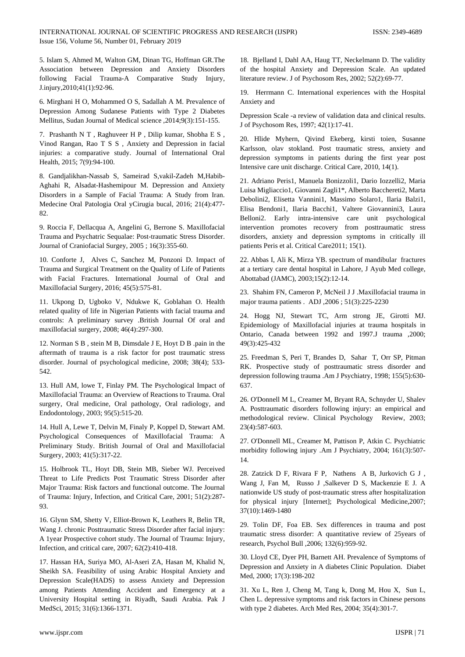5. Islam S, Ahmed M, Walton GM, Dinan TG, Hoffman GR.The Association between Depression and Anxiety Disorders following Facial Trauma-A Comparative Study Injury, J.injury,2010;41(1):92-96.

6. Mirghani H O, Mohammed O S, Sadallah A M. Prevalence of Depression Among Sudanese Patients with Type 2 Diabetes Mellitus, Sudan Journal of Medical science ,2014;9(3):151-155.

7. Prashanth N T , Raghuveer H P , Dilip kumar, Shobha E S , Vinod Rangan, Rao T S S , Anxiety and Depression in facial injuries: a comparative study. Journal of International Oral Health, 2015; 7(9):94-100.

8. Gandjalikhan-Nassab S, Sameirad S,vakil-Zadeh M,Habib-Aghahi R, Alsadat-Hashemipour M. Depression and Anxiety Disorders in a Sample of Facial Trauma: A Study from Iran. Medecine Oral Patologia Oral yCirugia bucal, 2016; 21(4):477- 82.

9. Roccia F, Dellacqua A, Angelini G, Berrone S. Maxillofacial Trauma and Psychatric Sequalae: Post-traumatic Stress Disorder. Journal of Craniofacial Surgey, 2005 ; 16(3):355-60.

10. Conforte J, Alves C, Sanchez M, Ponzoni D. Impact of Trauma and Surgical Treatment on the Quality of Life of Patients with Facial Fractures. International Journal of Oral and Maxillofacial Surgery, 2016; 45(5):575-81.

11. Ukpong D, Ugboko V, Ndukwe K, Goblahan O. Health related quality of life in Nigerian Patients with facial trauma and controls: A preliminary survey .British Journal Of oral and maxillofacial surgery, 2008; 46(4):297-300.

12. Norman S B , stein M B, Dimsdale J E, Hoyt D B .pain in the aftermath of trauma is a risk factor for post traumatic stress disorder. Journal of psychological medicine, 2008; 38(4); 533- 542.

13. Hull AM, lowe T, Finlay PM. The Psychological Impact of Maxillofacial Trauma: an Overview of Reactions to Trauma. Oral surgery, Oral medicine, Oral pathology, Oral radiology, and Endodontology, 2003; 95(5):515-20.

14. Hull A, Lewe T, Delvin M, Finaly P, Koppel D, Stewart AM. Psychological Consequences of Maxillofacial Trauma: A Preliminary Study. British Journal of Oral and Maxillofacial Surgery, 2003; 41(5):317-22.

15. Holbrook TL, Hoyt DB, Stein MB, Sieber WJ. Perceived Threat to Life Predicts Post Traumatic Stress Disorder after Major Trauma: Risk factors and functional outcome. The Journal of Trauma: Injury, Infection, and Critical Care, 2001; 51(2):287- 93.

16. Glynn SM, Shetty V, Elliot-Brown K, Leathers R, Belin TR, Wang J. chronic Posttraumatic Stress Disorder after facial injury: A 1year Prospective cohort study. The Journal of Trauma: Injury, Infection, and critical care, 2007; 62(2):410-418.

17. Hassan HA, Suriya MO, Al-Aseri ZA, Hasan M, Khalid N, Sheikh SA. Feasibility of using Arabic Hospital Anxiety and Depression Scale(HADS) to assess Anxiety and Depression among Patients Attending Accident and Emergency at a University Hospital setting in Riyadh, Saudi Arabia. Pak J MedSci, 2015; 31(6):1366-1371.

18. Bjelland I, Dahl AA, Haug TT, Neckelmann D. The validity of the hospital Anxiety and Depression Scale. An updated literature review. J of Psychosom Res, 2002; 52(2):69-77.

19. Herrmann C. International experiences with the Hospital Anxiety and

Depression Scale -a review of validation data and clinical results. J of Psychosom Res, 1997; 42(1):17-41.

20. Hlide Myhern, Qivind Ekeberg, kirsti toien, Susanne Karlsson, olav stokland. Post traumatic stress, anxiety and depression symptoms in patients during the first year post Intensive care unit discharge. Critical Care, 2010, 14(1).

21. Adriano Peris1, Manuela Bonizzoli1, Dario Iozzelli2, Maria Luisa Migliaccio1, Giovanni Zagli1\*, Alberto Bacchereti2, Marta Debolini2, Elisetta Vannini1, Massimo Solaro1, Ilaria Balzi1, Elisa Bendoni1, Ilaria Bacchi1, Valtere Giovannini3, Laura Belloni2. Early intra-intensive care unit psychological intervention promotes recovery from posttraumatic stress disorders, anxiety and depression symptoms in critically ill patients Peris et al. Critical Care2011; 15(1).

22. Abbas I, Ali K, Mirza YB. spectrum of mandibular fractures at a tertiary care dental hospital in Lahore, J Ayub Med college, Abottabad (JAMC), 2003;15(2):12-14.

23. Shahim FN, Cameron P, McNeil J J .Maxillofacial trauma in major trauma patients . ADJ ,2006 ; 51(3):225-2230

24. Hogg NJ, Stewart TC, Arm strong JE, Girotti MJ. Epidemiology of Maxillofacial injuries at trauma hospitals in Ontario, Canada between 1992 and 1997.J trauma ,2000; 49(3):425-432

25. Freedman S, Peri T, Brandes D, Sahar T, Orr SP, Pitman RK. Prospective study of posttraumatic stress disorder and depression following trauma .Am J Psychiatry, 1998; 155(5):630- 637.

26. O'Donnell M L, Creamer M, Bryant RA, Schnyder U, Shalev A. Posttraumatic disorders following injury: an empirical and methodological review. Clinical Psychology Review, 2003; 23(4):587-603.

27. O'Donnell ML, Creamer M, Pattison P, Atkin C. Psychiatric morbidity following injury .Am J Psychiatry, 2004; 161(3):507- 14.

28. Zatzick D F, Rivara F P, Nathens A B, Jurkovich G J , Wang J, Fan M, Russo J ,Salkever D S, Mackenzie E J. A nationwide US study of post-traumatic stress after hospitalization for physical injury [Internet]; Psychological Medicine,2007; 37(10):1469-1480

29. Tolin DF, Foa EB. Sex differences in trauma and post traumatic stress disorder: A quantitative review of 25years of research, Psychol Bull ,2006; 132(6):959-92.

30. Lloyd CE, Dyer PH, Barnett AH. Prevalence of Symptoms of Depression and Anxiety in A diabetes Clinic Population. Diabet Med, 2000; 17(3):198-202

31. Xu L, Ren J, Cheng M, Tang k, Dong M, Hou X, Sun L, Chen L. depressive symptoms and risk factors in Chinese persons with type 2 diabetes. Arch Med Res, 2004; 35(4):301-7.